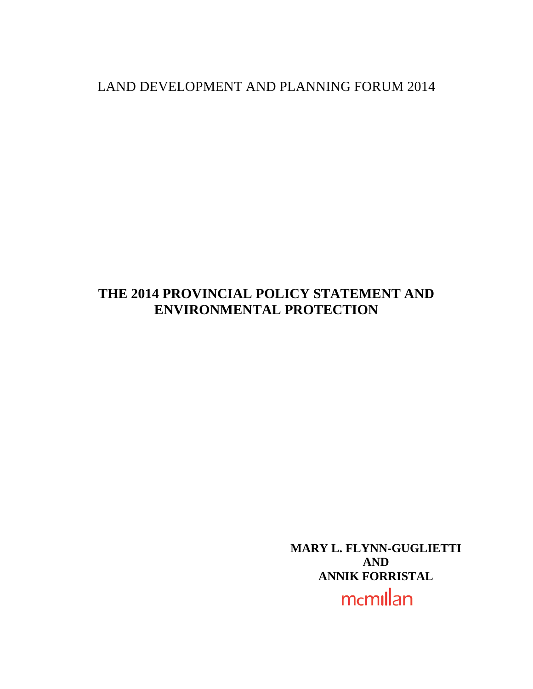# LAND DEVELOPMENT AND PLANNING FORUM 2014

# **THE 2014 PROVINCIAL POLICY STATEMENT AND ENVIRONMENTAL PROTECTION**

<span id="page-0-0"></span>**MARY L. FLYNN-GUGLIETTI AND ANNIK FORRISTAL**

mcmillan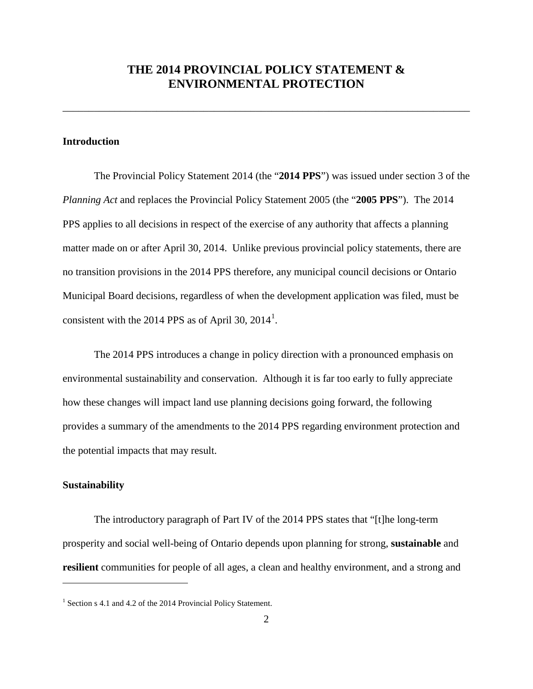## **THE 2014 PROVINCIAL POLICY STATEMENT & ENVIRONMENTAL PROTECTION**

\_\_\_\_\_\_\_\_\_\_\_\_\_\_\_\_\_\_\_\_\_\_\_\_\_\_\_\_\_\_\_\_\_\_\_\_\_\_\_\_\_\_\_\_\_\_\_\_\_\_\_\_\_\_\_\_\_\_\_\_\_\_\_\_\_\_\_\_\_\_\_\_\_\_\_\_\_\_

### **Introduction**

The Provincial Policy Statement 2014 (the "**2014 PPS**") was issued under section 3 of the *Planning Act* and replaces the Provincial Policy Statement 2005 (the "**2005 PPS**"). The 2014 PPS applies to all decisions in respect of the exercise of any authority that affects a planning matter made on or after April 30, 2014. Unlike previous provincial policy statements, there are no transition provisions in the 2014 PPS therefore, any municipal council decisions or Ontario Municipal Board decisions, regardless of when the development application was filed, must be consistent with the 20[1](#page-0-0)4 PPS as of April 30,  $2014<sup>1</sup>$ .

The 2014 PPS introduces a change in policy direction with a pronounced emphasis on environmental sustainability and conservation. Although it is far too early to fully appreciate how these changes will impact land use planning decisions going forward, the following provides a summary of the amendments to the 2014 PPS regarding environment protection and the potential impacts that may result.

#### **Sustainability**

<span id="page-1-0"></span> $\overline{a}$ 

The introductory paragraph of Part IV of the 2014 PPS states that "[t]he long-term prosperity and social well-being of Ontario depends upon planning for strong, **sustainable** and **resilient** communities for people of all ages, a clean and healthy environment, and a strong and

<sup>&</sup>lt;sup>1</sup> Section s 4.1 and 4.2 of the 2014 Provincial Policy Statement.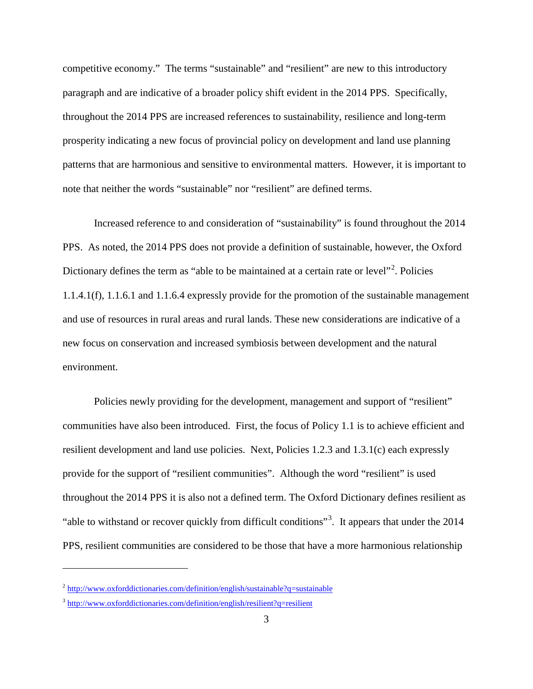competitive economy." The terms "sustainable" and "resilient" are new to this introductory paragraph and are indicative of a broader policy shift evident in the 2014 PPS. Specifically, throughout the 2014 PPS are increased references to sustainability, resilience and long-term prosperity indicating a new focus of provincial policy on development and land use planning patterns that are harmonious and sensitive to environmental matters. However, it is important to note that neither the words "sustainable" nor "resilient" are defined terms.

Increased reference to and consideration of "sustainability" is found throughout the 2014 PPS. As noted, the 2014 PPS does not provide a definition of sustainable, however, the Oxford Dictionary defines the term as "able to be maintained at a certain rate or level"<sup>[2](#page-1-0)</sup>. Policies 1.1.4.1(f), 1.1.6.1 and 1.1.6.4 expressly provide for the promotion of the sustainable management and use of resources in rural areas and rural lands. These new considerations are indicative of a new focus on conservation and increased symbiosis between development and the natural environment.

Policies newly providing for the development, management and support of "resilient" communities have also been introduced. First, the focus of Policy 1.1 is to achieve efficient and resilient development and land use policies. Next, Policies 1.2.3 and 1.3.1(c) each expressly provide for the support of "resilient communities". Although the word "resilient" is used throughout the 2014 PPS it is also not a defined term. The Oxford Dictionary defines resilient as "able to withstand or recover quickly from difficult conditions"<sup>[3](#page-2-0)</sup>. It appears that under the 2014 PPS, resilient communities are considered to be those that have a more harmonious relationship

 $\overline{a}$ 

 $2 \frac{\text{http://www.oxforddictionaries.com/definition/english/sustainable?q=sustainable}}{P}$  $2 \frac{\text{http://www.oxforddictionaries.com/definition/english/sustainable?q=sustainable}}{P}$  $2 \frac{\text{http://www.oxforddictionaries.com/definition/english/sustainable?q=sustainable}}{P}$ 

<span id="page-2-1"></span><span id="page-2-0"></span><sup>&</sup>lt;sup>3</sup> <http://www.oxforddictionaries.com/definition/english/resilient?q=resilient>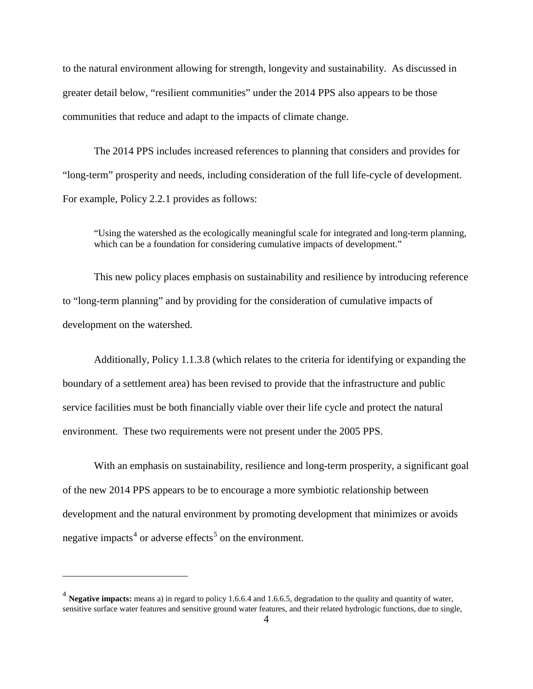to the natural environment allowing for strength, longevity and sustainability. As discussed in greater detail below, "resilient communities" under the 2014 PPS also appears to be those communities that reduce and adapt to the impacts of climate change.

The 2014 PPS includes increased references to planning that considers and provides for "long-term" prosperity and needs, including consideration of the full life-cycle of development. For example, Policy 2.2.1 provides as follows:

"Using the watershed as the ecologically meaningful scale for integrated and long-term planning, which can be a foundation for considering cumulative impacts of development."

This new policy places emphasis on sustainability and resilience by introducing reference to "long-term planning" and by providing for the consideration of cumulative impacts of development on the watershed.

Additionally, Policy 1.1.3.8 (which relates to the criteria for identifying or expanding the boundary of a settlement area) has been revised to provide that the infrastructure and public service facilities must be both financially viable over their life cycle and protect the natural environment. These two requirements were not present under the 2005 PPS.

<span id="page-3-0"></span>With an emphasis on sustainability, resilience and long-term prosperity, a significant goal of the new 2014 PPS appears to be to encourage a more symbiotic relationship between development and the natural environment by promoting development that minimizes or avoids negative impacts<sup>[4](#page-2-1)</sup> or adverse effects<sup>[5](#page-3-0)</sup> on the environment.

<span id="page-3-1"></span> $\overline{a}$ 

<sup>4</sup> **Negative impacts:** means a) in regard to policy 1.6.6.4 and 1.6.6.5, degradation to the quality and quantity of water, sensitive surface water features and sensitive ground water features, and their related hydrologic functions, due to single,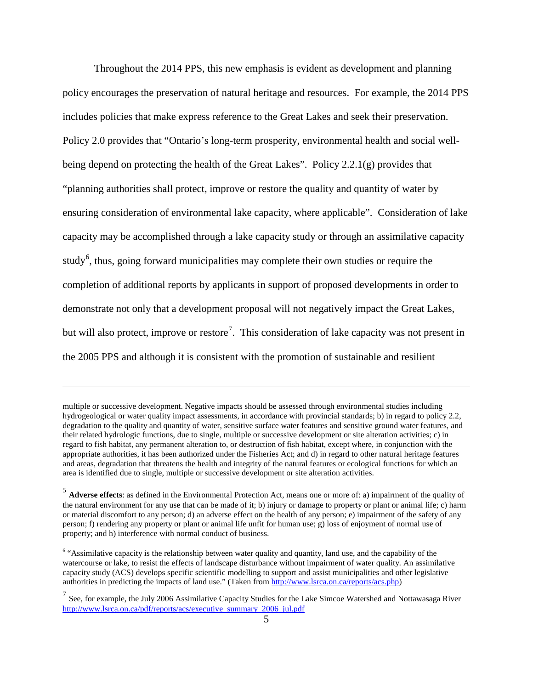Throughout the 2014 PPS, this new emphasis is evident as development and planning policy encourages the preservation of natural heritage and resources. For example, the 2014 PPS includes policies that make express reference to the Great Lakes and seek their preservation. Policy 2.0 provides that "Ontario's long-term prosperity, environmental health and social wellbeing depend on protecting the health of the Great Lakes". Policy 2.2.1(g) provides that "planning authorities shall protect, improve or restore the quality and quantity of water by ensuring consideration of environmental lake capacity, where applicable". Consideration of lake capacity may be accomplished through a lake capacity study or through an assimilative capacity study<sup>[6](#page-3-1)</sup>, thus, going forward municipalities may complete their own studies or require the completion of additional reports by applicants in support of proposed developments in order to demonstrate not only that a development proposal will not negatively impact the Great Lakes, but will also protect, improve or restore<sup>[7](#page-4-0)</sup>. This consideration of lake capacity was not present in the 2005 PPS and although it is consistent with the promotion of sustainable and resilient

 $\overline{a}$ 

multiple or successive development. Negative impacts should be assessed through environmental studies including hydrogeological or water quality impact assessments, in accordance with provincial standards; b) in regard to policy 2.2, degradation to the quality and quantity of water, sensitive surface water features and sensitive ground water features, and their related hydrologic functions, due to single, multiple or successive development or site alteration activities; c) in regard to fish habitat, any permanent alteration to, or destruction of fish habitat, except where, in conjunction with the appropriate authorities, it has been authorized under the Fisheries Act; and d) in regard to other natural heritage features and areas, degradation that threatens the health and integrity of the natural features or ecological functions for which an area is identified due to single, multiple or successive development or site alteration activities.

<sup>5</sup> **Adverse effects**: as defined in the Environmental Protection Act, means one or more of: a) impairment of the quality of the natural environment for any use that can be made of it; b) injury or damage to property or plant or animal life; c) harm or material discomfort to any person; d) an adverse effect on the health of any person; e) impairment of the safety of any person; f) rendering any property or plant or animal life unfit for human use; g) loss of enjoyment of normal use of property; and h) interference with normal conduct of business.

<sup>&</sup>lt;sup>6</sup> "Assimilative capacity is the relationship between water quality and quantity, land use, and the capability of the watercourse or lake, to resist the effects of landscape disturbance without impairment of water quality. An assimilative capacity study (ACS) develops specific scientific modelling to support and assist municipalities and other legislative authorities in predicting the impacts of land use." (Taken from [http://www.lsrca.on.ca/reports/acs.php\)](http://www.lsrca.on.ca/reports/acs.php)

<span id="page-4-1"></span><span id="page-4-0"></span> $7$  See, for example, the July 2006 Assimilative Capacity Studies for the Lake Simcoe Watershed and Nottawasaga River [http://www.lsrca.on.ca/pdf/reports/acs/executive\\_summary\\_2006\\_jul.pdf](http://www.lsrca.on.ca/pdf/reports/acs/executive_summary_2006_jul.pdf)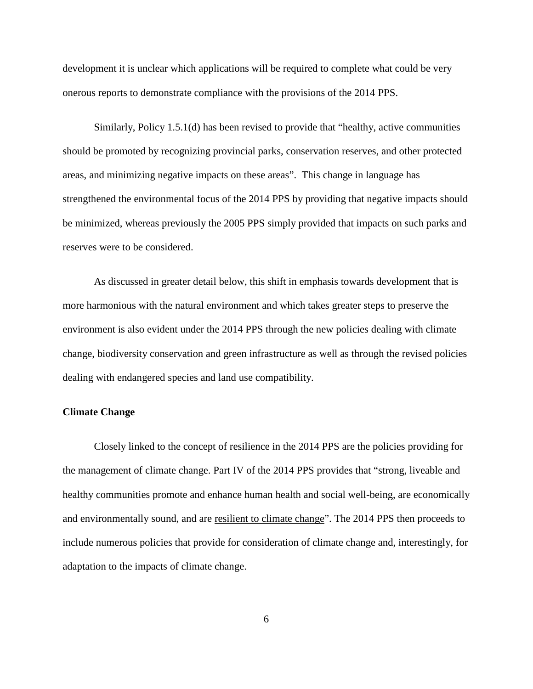development it is unclear which applications will be required to complete what could be very onerous reports to demonstrate compliance with the provisions of the 2014 PPS.

Similarly, Policy 1.5.1(d) has been revised to provide that "healthy, active communities should be promoted by recognizing provincial parks, conservation reserves, and other protected areas, and minimizing negative impacts on these areas". This change in language has strengthened the environmental focus of the 2014 PPS by providing that negative impacts should be minimized, whereas previously the 2005 PPS simply provided that impacts on such parks and reserves were to be considered.

As discussed in greater detail below, this shift in emphasis towards development that is more harmonious with the natural environment and which takes greater steps to preserve the environment is also evident under the 2014 PPS through the new policies dealing with climate change, biodiversity conservation and green infrastructure as well as through the revised policies dealing with endangered species and land use compatibility.

#### **Climate Change**

Closely linked to the concept of resilience in the 2014 PPS are the policies providing for the management of climate change. Part IV of the 2014 PPS provides that "strong, liveable and healthy communities promote and enhance human health and social well-being, are economically and environmentally sound, and are resilient to climate change". The 2014 PPS then proceeds to include numerous policies that provide for consideration of climate change and, interestingly, for adaptation to the impacts of climate change.

6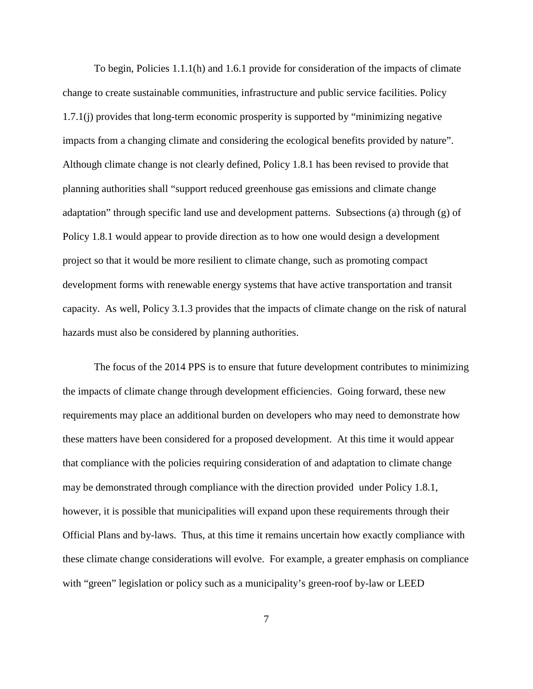To begin, Policies 1.1.1(h) and 1.6.1 provide for consideration of the impacts of climate change to create sustainable communities, infrastructure and public service facilities. Policy 1.7.1(j) provides that long-term economic prosperity is supported by "minimizing negative impacts from a changing climate and considering the ecological benefits provided by nature". Although climate change is not clearly defined, Policy 1.8.1 has been revised to provide that planning authorities shall "support reduced greenhouse gas emissions and climate change adaptation" through specific land use and development patterns. Subsections (a) through (g) of Policy 1.8.1 would appear to provide direction as to how one would design a development project so that it would be more resilient to climate change, such as promoting compact development forms with renewable energy systems that have active transportation and transit capacity. As well, Policy 3.1.3 provides that the impacts of climate change on the risk of natural hazards must also be considered by planning authorities.

The focus of the 2014 PPS is to ensure that future development contributes to minimizing the impacts of climate change through development efficiencies. Going forward, these new requirements may place an additional burden on developers who may need to demonstrate how these matters have been considered for a proposed development. At this time it would appear that compliance with the policies requiring consideration of and adaptation to climate change may be demonstrated through compliance with the direction provided under Policy 1.8.1, however, it is possible that municipalities will expand upon these requirements through their Official Plans and by-laws. Thus, at this time it remains uncertain how exactly compliance with these climate change considerations will evolve. For example, a greater emphasis on compliance with "green" legislation or policy such as a municipality's green-roof by-law or LEED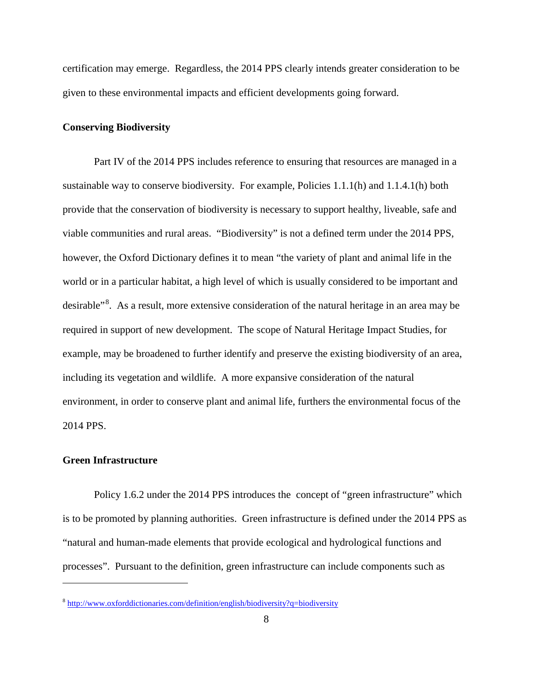certification may emerge. Regardless, the 2014 PPS clearly intends greater consideration to be given to these environmental impacts and efficient developments going forward.

#### **Conserving Biodiversity**

Part IV of the 2014 PPS includes reference to ensuring that resources are managed in a sustainable way to conserve biodiversity. For example, Policies 1.1.1(h) and 1.1.4.1(h) both provide that the conservation of biodiversity is necessary to support healthy, liveable, safe and viable communities and rural areas. "Biodiversity" is not a defined term under the 2014 PPS, however, the Oxford Dictionary defines it to mean "the variety of plant and animal life in the world or in a particular habitat, a high level of which is usually considered to be important and desirable<sup>3[8](#page-4-1)</sup>. As a result, more extensive consideration of the natural heritage in an area may be required in support of new development. The scope of Natural Heritage Impact Studies, for example, may be broadened to further identify and preserve the existing biodiversity of an area, including its vegetation and wildlife. A more expansive consideration of the natural environment, in order to conserve plant and animal life, furthers the environmental focus of the 2014 PPS.

### **Green Infrastructure**

 $\overline{a}$ 

Policy 1.6.2 under the 2014 PPS introduces the concept of "green infrastructure" which is to be promoted by planning authorities. Green infrastructure is defined under the 2014 PPS as "natural and human-made elements that provide ecological and hydrological functions and processes". Pursuant to the definition, green infrastructure can include components such as

<sup>8</sup> <http://www.oxforddictionaries.com/definition/english/biodiversity?q=biodiversity>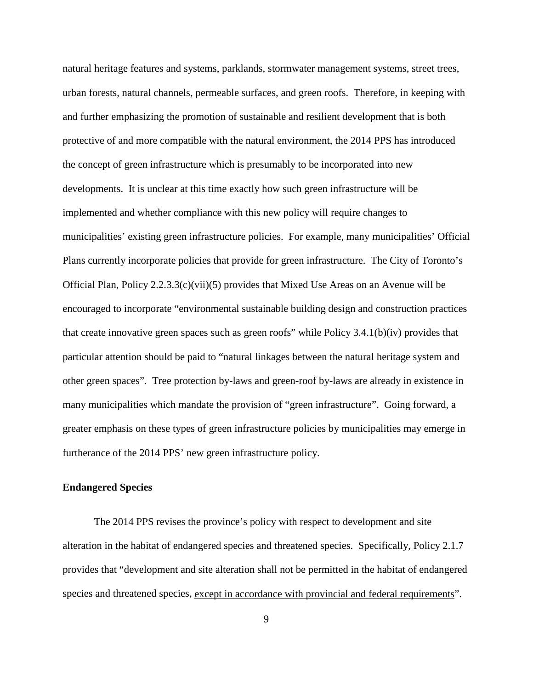natural heritage features and systems, parklands, stormwater management systems, street trees, urban forests, natural channels, permeable surfaces, and green roofs. Therefore, in keeping with and further emphasizing the promotion of sustainable and resilient development that is both protective of and more compatible with the natural environment, the 2014 PPS has introduced the concept of green infrastructure which is presumably to be incorporated into new developments. It is unclear at this time exactly how such green infrastructure will be implemented and whether compliance with this new policy will require changes to municipalities' existing green infrastructure policies. For example, many municipalities' Official Plans currently incorporate policies that provide for green infrastructure. The City of Toronto's Official Plan, Policy 2.2.3.3(c)(vii)(5) provides that Mixed Use Areas on an Avenue will be encouraged to incorporate "environmental sustainable building design and construction practices that create innovative green spaces such as green roofs" while Policy 3.4.1(b)(iv) provides that particular attention should be paid to "natural linkages between the natural heritage system and other green spaces". Tree protection by-laws and green-roof by-laws are already in existence in many municipalities which mandate the provision of "green infrastructure". Going forward, a greater emphasis on these types of green infrastructure policies by municipalities may emerge in furtherance of the 2014 PPS' new green infrastructure policy.

#### **Endangered Species**

The 2014 PPS revises the province's policy with respect to development and site alteration in the habitat of endangered species and threatened species. Specifically, Policy 2.1.7 provides that "development and site alteration shall not be permitted in the habitat of endangered species and threatened species, except in accordance with provincial and federal requirements".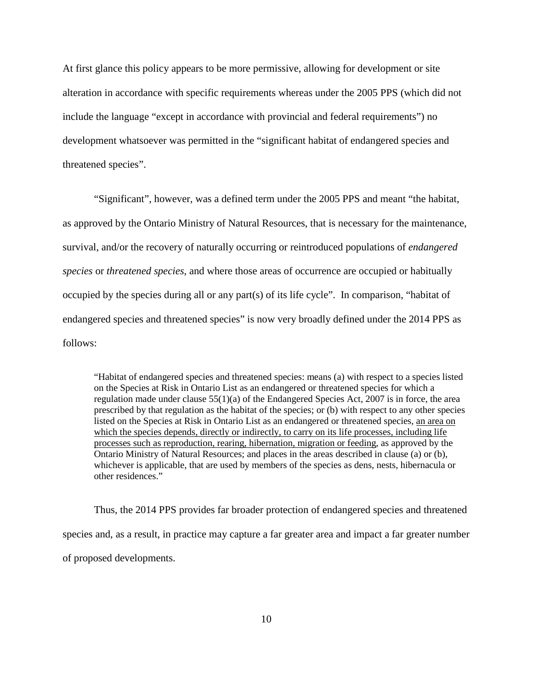At first glance this policy appears to be more permissive, allowing for development or site alteration in accordance with specific requirements whereas under the 2005 PPS (which did not include the language "except in accordance with provincial and federal requirements") no development whatsoever was permitted in the "significant habitat of endangered species and threatened species".

"Significant", however, was a defined term under the 2005 PPS and meant "the habitat, as approved by the Ontario Ministry of Natural Resources, that is necessary for the maintenance, survival, and/or the recovery of naturally occurring or reintroduced populations of *endangered species* or *threatened species*, and where those areas of occurrence are occupied or habitually occupied by the species during all or any part(s) of its life cycle". In comparison, "habitat of endangered species and threatened species" is now very broadly defined under the 2014 PPS as follows:

"Habitat of endangered species and threatened species: means (a) with respect to a species listed on the Species at Risk in Ontario List as an endangered or threatened species for which a regulation made under clause  $55(1)(a)$  of the Endangered Species Act, 2007 is in force, the area prescribed by that regulation as the habitat of the species; or (b) with respect to any other species listed on the Species at Risk in Ontario List as an endangered or threatened species, an area on which the species depends, directly or indirectly, to carry on its life processes, including life processes such as reproduction, rearing, hibernation, migration or feeding, as approved by the Ontario Ministry of Natural Resources; and places in the areas described in clause (a) or (b), whichever is applicable, that are used by members of the species as dens, nests, hibernacula or other residences."

Thus, the 2014 PPS provides far broader protection of endangered species and threatened species and, as a result, in practice may capture a far greater area and impact a far greater number of proposed developments.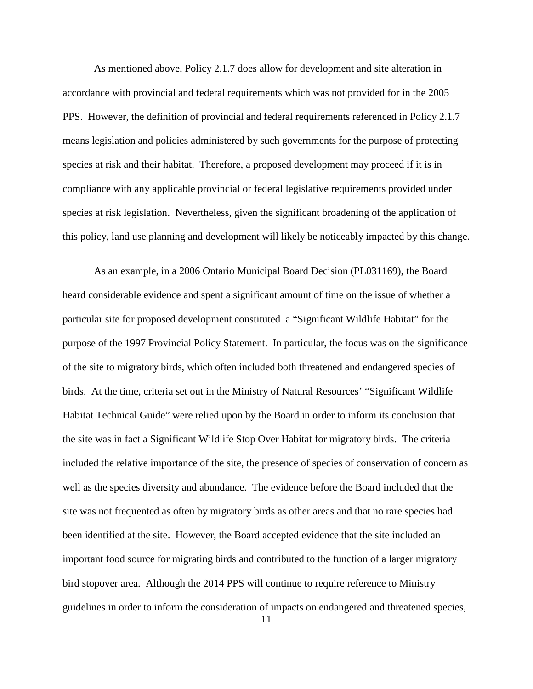As mentioned above, Policy 2.1.7 does allow for development and site alteration in accordance with provincial and federal requirements which was not provided for in the 2005 PPS. However, the definition of provincial and federal requirements referenced in Policy 2.1.7 means legislation and policies administered by such governments for the purpose of protecting species at risk and their habitat. Therefore, a proposed development may proceed if it is in compliance with any applicable provincial or federal legislative requirements provided under species at risk legislation. Nevertheless, given the significant broadening of the application of this policy, land use planning and development will likely be noticeably impacted by this change.

As an example, in a 2006 Ontario Municipal Board Decision (PL031169), the Board heard considerable evidence and spent a significant amount of time on the issue of whether a particular site for proposed development constituted a "Significant Wildlife Habitat" for the purpose of the 1997 Provincial Policy Statement. In particular, the focus was on the significance of the site to migratory birds, which often included both threatened and endangered species of birds. At the time, criteria set out in the Ministry of Natural Resources' "Significant Wildlife Habitat Technical Guide" were relied upon by the Board in order to inform its conclusion that the site was in fact a Significant Wildlife Stop Over Habitat for migratory birds. The criteria included the relative importance of the site, the presence of species of conservation of concern as well as the species diversity and abundance. The evidence before the Board included that the site was not frequented as often by migratory birds as other areas and that no rare species had been identified at the site. However, the Board accepted evidence that the site included an important food source for migrating birds and contributed to the function of a larger migratory bird stopover area. Although the 2014 PPS will continue to require reference to Ministry guidelines in order to inform the consideration of impacts on endangered and threatened species,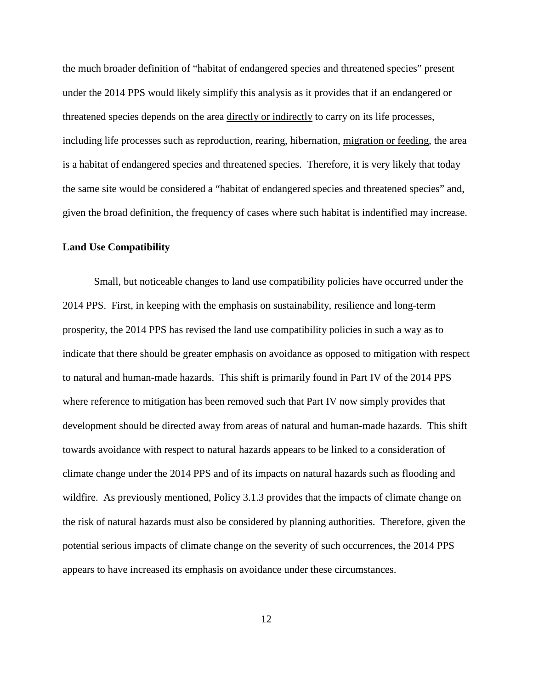the much broader definition of "habitat of endangered species and threatened species" present under the 2014 PPS would likely simplify this analysis as it provides that if an endangered or threatened species depends on the area directly or indirectly to carry on its life processes, including life processes such as reproduction, rearing, hibernation, migration or feeding, the area is a habitat of endangered species and threatened species. Therefore, it is very likely that today the same site would be considered a "habitat of endangered species and threatened species" and, given the broad definition, the frequency of cases where such habitat is indentified may increase.

#### **Land Use Compatibility**

Small, but noticeable changes to land use compatibility policies have occurred under the 2014 PPS. First, in keeping with the emphasis on sustainability, resilience and long-term prosperity, the 2014 PPS has revised the land use compatibility policies in such a way as to indicate that there should be greater emphasis on avoidance as opposed to mitigation with respect to natural and human-made hazards. This shift is primarily found in Part IV of the 2014 PPS where reference to mitigation has been removed such that Part IV now simply provides that development should be directed away from areas of natural and human-made hazards. This shift towards avoidance with respect to natural hazards appears to be linked to a consideration of climate change under the 2014 PPS and of its impacts on natural hazards such as flooding and wildfire. As previously mentioned, Policy 3.1.3 provides that the impacts of climate change on the risk of natural hazards must also be considered by planning authorities. Therefore, given the potential serious impacts of climate change on the severity of such occurrences, the 2014 PPS appears to have increased its emphasis on avoidance under these circumstances.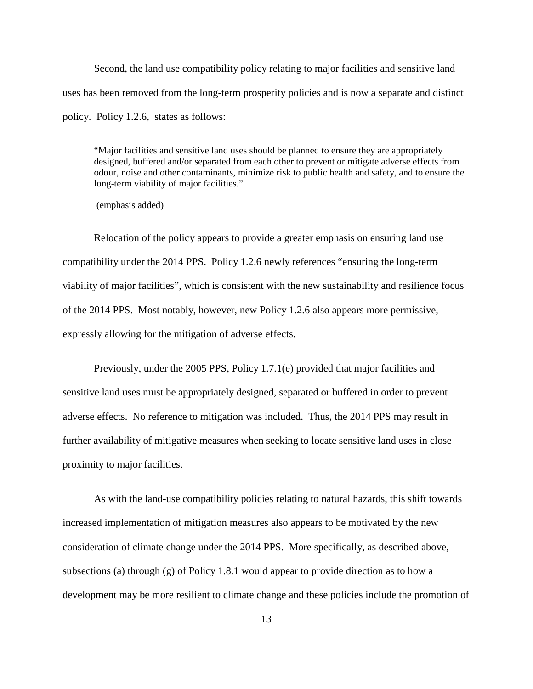Second, the land use compatibility policy relating to major facilities and sensitive land uses has been removed from the long-term prosperity policies and is now a separate and distinct policy. Policy 1.2.6, states as follows:

"Major facilities and sensitive land uses should be planned to ensure they are appropriately designed, buffered and/or separated from each other to prevent or mitigate adverse effects from odour, noise and other contaminants, minimize risk to public health and safety, and to ensure the long-term viability of major facilities."

(emphasis added)

Relocation of the policy appears to provide a greater emphasis on ensuring land use compatibility under the 2014 PPS. Policy 1.2.6 newly references "ensuring the long-term viability of major facilities", which is consistent with the new sustainability and resilience focus of the 2014 PPS. Most notably, however, new Policy 1.2.6 also appears more permissive, expressly allowing for the mitigation of adverse effects.

Previously, under the 2005 PPS, Policy 1.7.1(e) provided that major facilities and sensitive land uses must be appropriately designed, separated or buffered in order to prevent adverse effects. No reference to mitigation was included. Thus, the 2014 PPS may result in further availability of mitigative measures when seeking to locate sensitive land uses in close proximity to major facilities.

As with the land-use compatibility policies relating to natural hazards, this shift towards increased implementation of mitigation measures also appears to be motivated by the new consideration of climate change under the 2014 PPS. More specifically, as described above, subsections (a) through (g) of Policy 1.8.1 would appear to provide direction as to how a development may be more resilient to climate change and these policies include the promotion of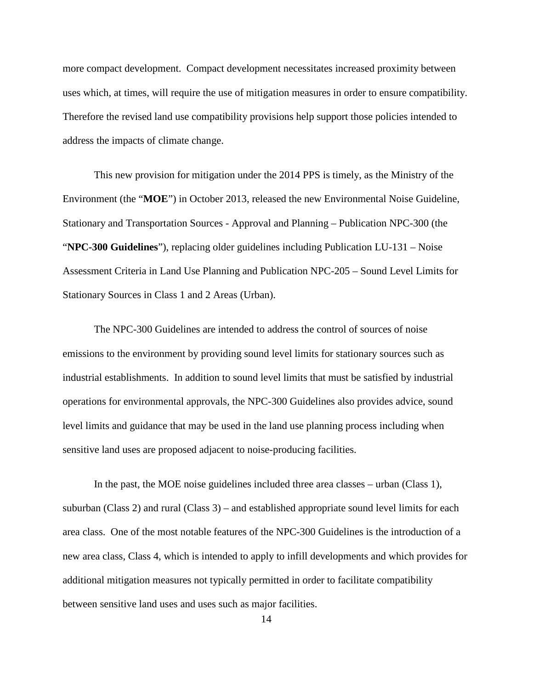more compact development. Compact development necessitates increased proximity between uses which, at times, will require the use of mitigation measures in order to ensure compatibility. Therefore the revised land use compatibility provisions help support those policies intended to address the impacts of climate change.

This new provision for mitigation under the 2014 PPS is timely, as the Ministry of the Environment (the "**MOE**") in October 2013, released the new Environmental Noise Guideline, Stationary and Transportation Sources - Approval and Planning – Publication NPC-300 (the "**NPC-300 Guidelines**"), replacing older guidelines including Publication LU-131 – Noise Assessment Criteria in Land Use Planning and Publication NPC-205 – Sound Level Limits for Stationary Sources in Class 1 and 2 Areas (Urban).

The NPC-300 Guidelines are intended to address the control of sources of noise emissions to the environment by providing sound level limits for stationary sources such as industrial establishments. In addition to sound level limits that must be satisfied by industrial operations for environmental approvals, the NPC-300 Guidelines also provides advice, sound level limits and guidance that may be used in the land use planning process including when sensitive land uses are proposed adjacent to noise-producing facilities.

In the past, the MOE noise guidelines included three area classes – urban (Class 1), suburban (Class 2) and rural (Class 3) – and established appropriate sound level limits for each area class. One of the most notable features of the NPC-300 Guidelines is the introduction of a new area class, Class 4, which is intended to apply to infill developments and which provides for additional mitigation measures not typically permitted in order to facilitate compatibility between sensitive land uses and uses such as major facilities.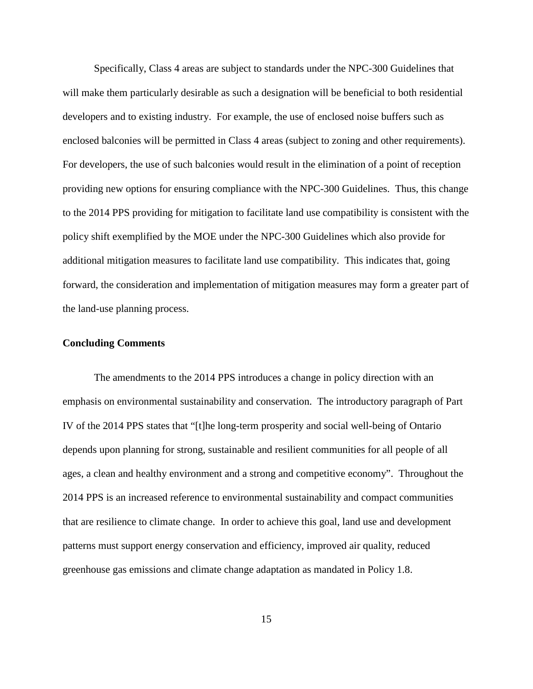Specifically, Class 4 areas are subject to standards under the NPC-300 Guidelines that will make them particularly desirable as such a designation will be beneficial to both residential developers and to existing industry. For example, the use of enclosed noise buffers such as enclosed balconies will be permitted in Class 4 areas (subject to zoning and other requirements). For developers, the use of such balconies would result in the elimination of a point of reception providing new options for ensuring compliance with the NPC-300 Guidelines. Thus, this change to the 2014 PPS providing for mitigation to facilitate land use compatibility is consistent with the policy shift exemplified by the MOE under the NPC-300 Guidelines which also provide for additional mitigation measures to facilitate land use compatibility. This indicates that, going forward, the consideration and implementation of mitigation measures may form a greater part of the land-use planning process.

#### **Concluding Comments**

The amendments to the 2014 PPS introduces a change in policy direction with an emphasis on environmental sustainability and conservation. The introductory paragraph of Part IV of the 2014 PPS states that "[t]he long-term prosperity and social well-being of Ontario depends upon planning for strong, sustainable and resilient communities for all people of all ages, a clean and healthy environment and a strong and competitive economy". Throughout the 2014 PPS is an increased reference to environmental sustainability and compact communities that are resilience to climate change. In order to achieve this goal, land use and development patterns must support energy conservation and efficiency, improved air quality, reduced greenhouse gas emissions and climate change adaptation as mandated in Policy 1.8.